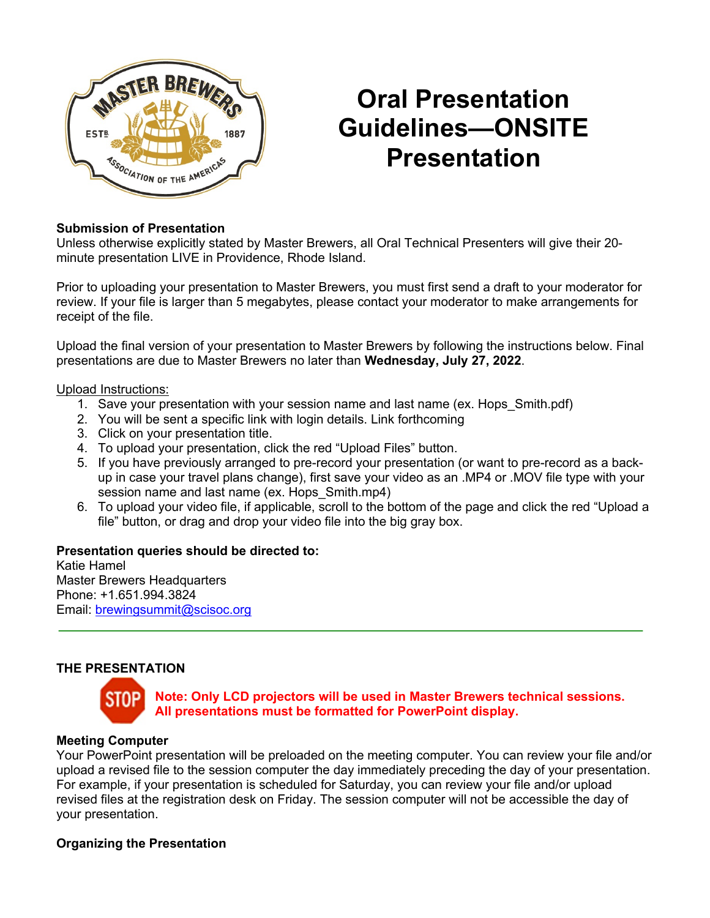

# **Oral Presentation Guidelines—ONSITE Presentation**

### **Submission of Presentation**

Unless otherwise explicitly stated by Master Brewers, all Oral Technical Presenters will give their 20 minute presentation LIVE in Providence, Rhode Island.

Prior to uploading your presentation to Master Brewers, you must first send a draft to your moderator for review. If your file is larger than 5 megabytes, please contact your moderator to make arrangements for receipt of the file.

Upload the final version of your presentation to Master Brewers by following the instructions below. Final presentations are due to Master Brewers no later than **Wednesday, July 27, 2022**.

Upload Instructions:

- 1. Save your presentation with your session name and last name (ex. Hops\_Smith.pdf)
- 2. You will be sent a specific link with login details. Link forthcoming
- 3. Click on your presentation title.
- 4. To upload your presentation, click the red "Upload Files" button.
- 5. If you have previously arranged to pre-record your presentation (or want to pre-record as a backup in case your travel plans change), first save your video as an .MP4 or .MOV file type with your session name and last name (ex. Hops Smith.mp4)
- 6. To upload your video file, if applicable, scroll to the bottom of the page and click the red "Upload a file" button, or drag and drop your video file into the big gray box.

#### **Presentation queries should be directed to:**

Katie Hamel Master Brewers Headquarters Phone: +1.651.994.3824 Email: brewingsummit@scisoc.org

## **THE PRESENTATION**



**Note: Only LCD projectors will be used in Master Brewers technical sessions. All presentations must be formatted for PowerPoint display.**

#### **Meeting Computer**

Your PowerPoint presentation will be preloaded on the meeting computer. You can review your file and/or upload a revised file to the session computer the day immediately preceding the day of your presentation. For example, if your presentation is scheduled for Saturday, you can review your file and/or upload revised files at the registration desk on Friday. The session computer will not be accessible the day of your presentation.

#### **Organizing the Presentation**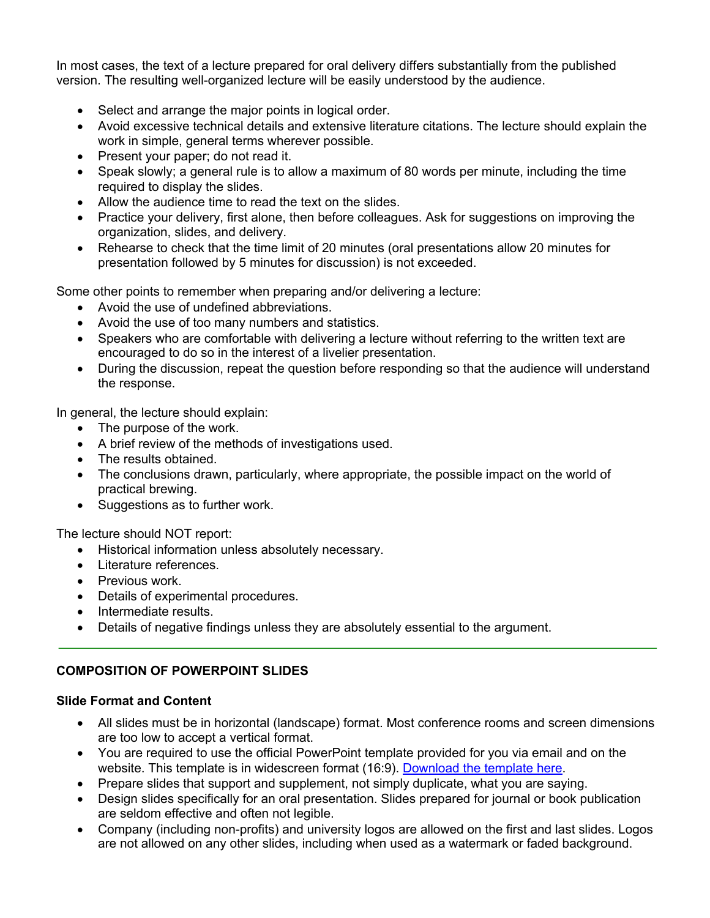In most cases, the text of a lecture prepared for oral delivery differs substantially from the published version. The resulting well-organized lecture will be easily understood by the audience.

- Select and arrange the major points in logical order.
- Avoid excessive technical details and extensive literature citations. The lecture should explain the work in simple, general terms wherever possible.
- Present your paper; do not read it.
- Speak slowly; a general rule is to allow a maximum of 80 words per minute, including the time required to display the slides.
- Allow the audience time to read the text on the slides.
- Practice your delivery, first alone, then before colleagues. Ask for suggestions on improving the organization, slides, and delivery.
- Rehearse to check that the time limit of 20 minutes (oral presentations allow 20 minutes for presentation followed by 5 minutes for discussion) is not exceeded.

Some other points to remember when preparing and/or delivering a lecture:

- Avoid the use of undefined abbreviations.
- Avoid the use of too many numbers and statistics.
- Speakers who are comfortable with delivering a lecture without referring to the written text are encouraged to do so in the interest of a livelier presentation.
- During the discussion, repeat the question before responding so that the audience will understand the response.

In general, the lecture should explain:

- The purpose of the work.
- A brief review of the methods of investigations used.
- The results obtained.
- The conclusions drawn, particularly, where appropriate, the possible impact on the world of practical brewing.
- Suggestions as to further work.

The lecture should NOT report:

- Historical information unless absolutely necessary.
- Literature references.
- Previous work.
- Details of experimental procedures.
- Intermediate results.
- Details of negative findings unless they are absolutely essential to the argument.

#### **COMPOSITION OF POWERPOINT SLIDES**

#### **Slide Format and Content**

- All slides must be in horizontal (landscape) format. Most conference rooms and screen dimensions are too low to accept a vertical format.
- You are required to use the official PowerPoint template provided for you via email and on the website. This template is in widescreen format (16:9). Download the template here.
- Prepare slides that support and supplement, not simply duplicate, what you are saying.
- Design slides specifically for an oral presentation. Slides prepared for journal or book publication are seldom effective and often not legible.
- Company (including non-profits) and university logos are allowed on the first and last slides. Logos are not allowed on any other slides, including when used as a watermark or faded background.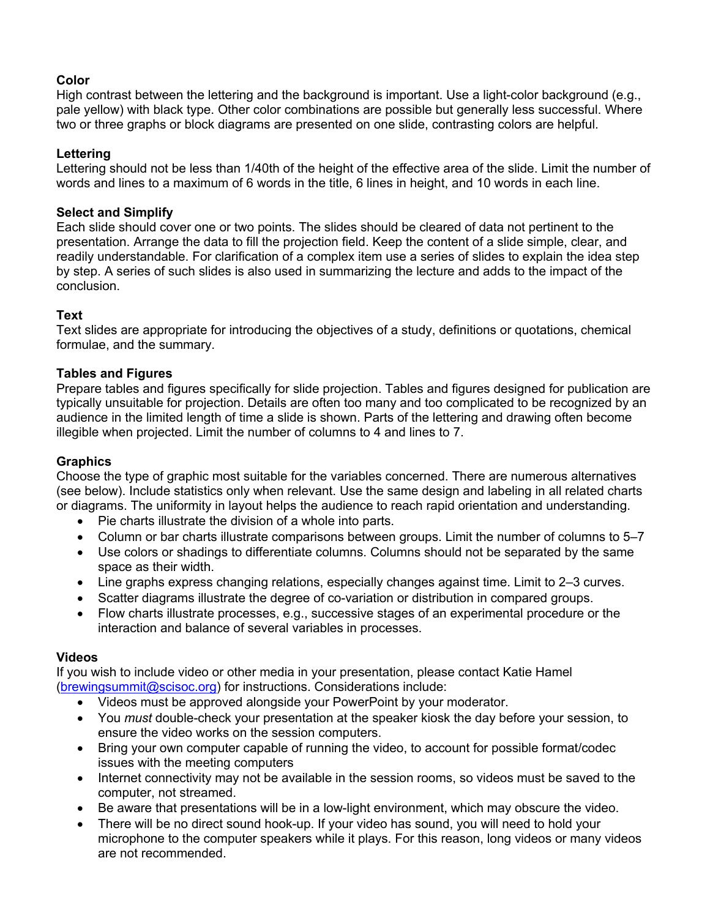### **Color**

High contrast between the lettering and the background is important. Use a light-color background (e.g., pale yellow) with black type. Other color combinations are possible but generally less successful. Where two or three graphs or block diagrams are presented on one slide, contrasting colors are helpful.

### **Lettering**

Lettering should not be less than 1/40th of the height of the effective area of the slide. Limit the number of words and lines to a maximum of 6 words in the title, 6 lines in height, and 10 words in each line.

### **Select and Simplify**

Each slide should cover one or two points. The slides should be cleared of data not pertinent to the presentation. Arrange the data to fill the projection field. Keep the content of a slide simple, clear, and readily understandable. For clarification of a complex item use a series of slides to explain the idea step by step. A series of such slides is also used in summarizing the lecture and adds to the impact of the conclusion.

## **Text**

Text slides are appropriate for introducing the objectives of a study, definitions or quotations, chemical formulae, and the summary.

#### **Tables and Figures**

Prepare tables and figures specifically for slide projection. Tables and figures designed for publication are typically unsuitable for projection. Details are often too many and too complicated to be recognized by an audience in the limited length of time a slide is shown. Parts of the lettering and drawing often become illegible when projected. Limit the number of columns to 4 and lines to 7.

#### **Graphics**

Choose the type of graphic most suitable for the variables concerned. There are numerous alternatives (see below). Include statistics only when relevant. Use the same design and labeling in all related charts or diagrams. The uniformity in layout helps the audience to reach rapid orientation and understanding.

- Pie charts illustrate the division of a whole into parts.
- Column or bar charts illustrate comparisons between groups. Limit the number of columns to 5–7
- Use colors or shadings to differentiate columns. Columns should not be separated by the same space as their width.
- Line graphs express changing relations, especially changes against time. Limit to 2–3 curves.
- Scatter diagrams illustrate the degree of co-variation or distribution in compared groups.
- Flow charts illustrate processes, e.g., successive stages of an experimental procedure or the interaction and balance of several variables in processes.

#### **Videos**

If you wish to include video or other media in your presentation, please contact Katie Hamel (brewingsummit@scisoc.org) for instructions. Considerations include:

- Videos must be approved alongside your PowerPoint by your moderator.
- You *must* double-check your presentation at the speaker kiosk the day before your session, to ensure the video works on the session computers.
- Bring your own computer capable of running the video, to account for possible format/codec issues with the meeting computers
- Internet connectivity may not be available in the session rooms, so videos must be saved to the computer, not streamed.
- Be aware that presentations will be in a low-light environment, which may obscure the video.
- There will be no direct sound hook-up. If your video has sound, you will need to hold your microphone to the computer speakers while it plays. For this reason, long videos or many videos are not recommended.